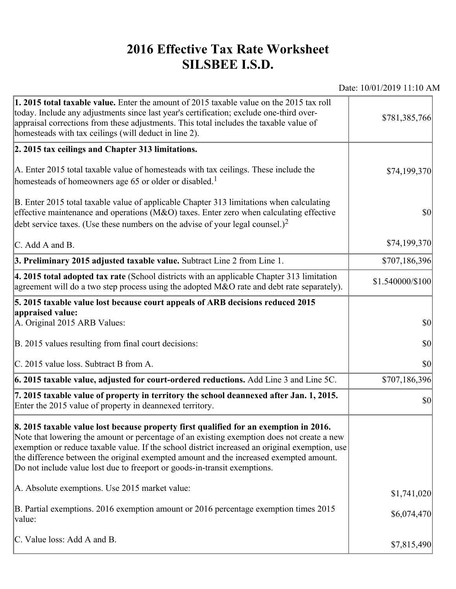## **2016 Effective Tax Rate Worksheet SILSBEE I.S.D.**

Date: 10/01/2019 11:10 AM

| 1. 2015 total taxable value. Enter the amount of 2015 taxable value on the 2015 tax roll<br>today. Include any adjustments since last year's certification; exclude one-third over-<br>appraisal corrections from these adjustments. This total includes the taxable value of<br>homesteads with tax ceilings (will deduct in line 2).                                                                                                                       | \$781,385,766    |
|--------------------------------------------------------------------------------------------------------------------------------------------------------------------------------------------------------------------------------------------------------------------------------------------------------------------------------------------------------------------------------------------------------------------------------------------------------------|------------------|
| 2. 2015 tax ceilings and Chapter 313 limitations.                                                                                                                                                                                                                                                                                                                                                                                                            |                  |
| A. Enter 2015 total taxable value of homesteads with tax ceilings. These include the<br>homesteads of homeowners age 65 or older or disabled. <sup>1</sup>                                                                                                                                                                                                                                                                                                   | \$74,199,370     |
| B. Enter 2015 total taxable value of applicable Chapter 313 limitations when calculating<br>effective maintenance and operations ( $M&O$ ) taxes. Enter zero when calculating effective<br>debt service taxes. (Use these numbers on the advise of your legal counsel.) <sup>2</sup>                                                                                                                                                                         | $ 10\rangle$     |
| C. Add A and B.                                                                                                                                                                                                                                                                                                                                                                                                                                              | \$74,199,370     |
| 3. Preliminary 2015 adjusted taxable value. Subtract Line 2 from Line 1.                                                                                                                                                                                                                                                                                                                                                                                     | \$707,186,396    |
| 4. 2015 total adopted tax rate (School districts with an applicable Chapter 313 limitation<br>agreement will do a two step process using the adopted M&O rate and debt rate separately).                                                                                                                                                                                                                                                                     | \$1.540000/\$100 |
| 5. 2015 taxable value lost because court appeals of ARB decisions reduced 2015                                                                                                                                                                                                                                                                                                                                                                               |                  |
| appraised value:<br>A. Original 2015 ARB Values:                                                                                                                                                                                                                                                                                                                                                                                                             | $ 10\rangle$     |
| B. 2015 values resulting from final court decisions:                                                                                                                                                                                                                                                                                                                                                                                                         | \$0              |
| C. 2015 value loss. Subtract B from A.                                                                                                                                                                                                                                                                                                                                                                                                                       | $ 10\rangle$     |
| $\vert$ 6. 2015 taxable value, adjusted for court-ordered reductions. Add Line 3 and Line 5C.                                                                                                                                                                                                                                                                                                                                                                | \$707,186,396    |
| 7. 2015 taxable value of property in territory the school deannexed after Jan. 1, 2015.<br>Enter the 2015 value of property in deannexed territory.                                                                                                                                                                                                                                                                                                          | $ 10\rangle$     |
| 8. 2015 taxable value lost because property first qualified for an exemption in 2016.<br>Note that lowering the amount or percentage of an existing exemption does not create a new<br>exemption or reduce taxable value. If the school district increased an original exemption, use<br>the difference between the original exempted amount and the increased exempted amount.<br>Do not include value lost due to freeport or goods-in-transit exemptions. |                  |
| A. Absolute exemptions. Use 2015 market value:                                                                                                                                                                                                                                                                                                                                                                                                               | \$1,741,020      |
| B. Partial exemptions. 2016 exemption amount or 2016 percentage exemption times 2015<br>value:                                                                                                                                                                                                                                                                                                                                                               | \$6,074,470      |
| C. Value loss: Add A and B.                                                                                                                                                                                                                                                                                                                                                                                                                                  | \$7,815,490      |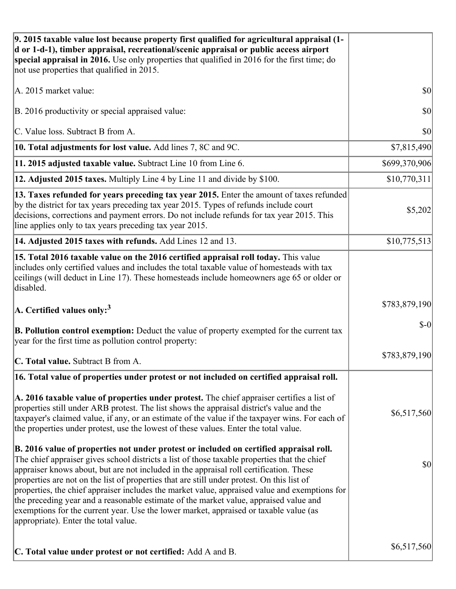| 9. 2015 taxable value lost because property first qualified for agricultural appraisal (1-<br>d or 1-d-1), timber appraisal, recreational/scenic appraisal or public access airport<br>special appraisal in 2016. Use only properties that qualified in 2016 for the first time; do<br>not use properties that qualified in 2015.                                                                                                                                                                                                                                                                                                                                                                         |               |
|-----------------------------------------------------------------------------------------------------------------------------------------------------------------------------------------------------------------------------------------------------------------------------------------------------------------------------------------------------------------------------------------------------------------------------------------------------------------------------------------------------------------------------------------------------------------------------------------------------------------------------------------------------------------------------------------------------------|---------------|
| A. 2015 market value:                                                                                                                                                                                                                                                                                                                                                                                                                                                                                                                                                                                                                                                                                     | \$0           |
| B. 2016 productivity or special appraised value:                                                                                                                                                                                                                                                                                                                                                                                                                                                                                                                                                                                                                                                          | 30            |
| C. Value loss. Subtract B from A.                                                                                                                                                                                                                                                                                                                                                                                                                                                                                                                                                                                                                                                                         | \$0           |
| 10. Total adjustments for lost value. Add lines 7, 8C and 9C.                                                                                                                                                                                                                                                                                                                                                                                                                                                                                                                                                                                                                                             | \$7,815,490   |
| 11. 2015 adjusted taxable value. Subtract Line 10 from Line 6.                                                                                                                                                                                                                                                                                                                                                                                                                                                                                                                                                                                                                                            | \$699,370,906 |
| 12. Adjusted 2015 taxes. Multiply Line 4 by Line 11 and divide by \$100.                                                                                                                                                                                                                                                                                                                                                                                                                                                                                                                                                                                                                                  | \$10,770,311  |
| 13. Taxes refunded for years preceding tax year 2015. Enter the amount of taxes refunded<br>by the district for tax years preceding tax year 2015. Types of refunds include court<br>decisions, corrections and payment errors. Do not include refunds for tax year 2015. This<br>line applies only to tax years preceding tax year 2015.                                                                                                                                                                                                                                                                                                                                                                 | \$5,202       |
| 14. Adjusted 2015 taxes with refunds. Add Lines 12 and 13.                                                                                                                                                                                                                                                                                                                                                                                                                                                                                                                                                                                                                                                | \$10,775,513  |
| 15. Total 2016 taxable value on the 2016 certified appraisal roll today. This value<br>includes only certified values and includes the total taxable value of homesteads with tax<br>ceilings (will deduct in Line 17). These homesteads include homeowners age 65 or older or<br>disabled.                                                                                                                                                                                                                                                                                                                                                                                                               |               |
| A. Certified values only: $3$                                                                                                                                                                                                                                                                                                                                                                                                                                                                                                                                                                                                                                                                             | \$783,879,190 |
| B. Pollution control exemption: Deduct the value of property exempted for the current tax<br>year for the first time as pollution control property:                                                                                                                                                                                                                                                                                                                                                                                                                                                                                                                                                       | $S-0$         |
| C. Total value. Subtract B from A.                                                                                                                                                                                                                                                                                                                                                                                                                                                                                                                                                                                                                                                                        | \$783,879,190 |
| 16. Total value of properties under protest or not included on certified appraisal roll.                                                                                                                                                                                                                                                                                                                                                                                                                                                                                                                                                                                                                  |               |
| A. 2016 taxable value of properties under protest. The chief appraiser certifies a list of<br>properties still under ARB protest. The list shows the appraisal district's value and the<br>taxpayer's claimed value, if any, or an estimate of the value if the taxpayer wins. For each of<br>the properties under protest, use the lowest of these values. Enter the total value.                                                                                                                                                                                                                                                                                                                        | \$6,517,560   |
| B. 2016 value of properties not under protest or included on certified appraisal roll.<br>The chief appraiser gives school districts a list of those taxable properties that the chief<br>appraiser knows about, but are not included in the appraisal roll certification. These<br>properties are not on the list of properties that are still under protest. On this list of<br>properties, the chief appraiser includes the market value, appraised value and exemptions for<br>the preceding year and a reasonable estimate of the market value, appraised value and<br>exemptions for the current year. Use the lower market, appraised or taxable value (as<br>appropriate). Enter the total value. | \$0           |
| C. Total value under protest or not certified: Add A and B.                                                                                                                                                                                                                                                                                                                                                                                                                                                                                                                                                                                                                                               | \$6,517,560   |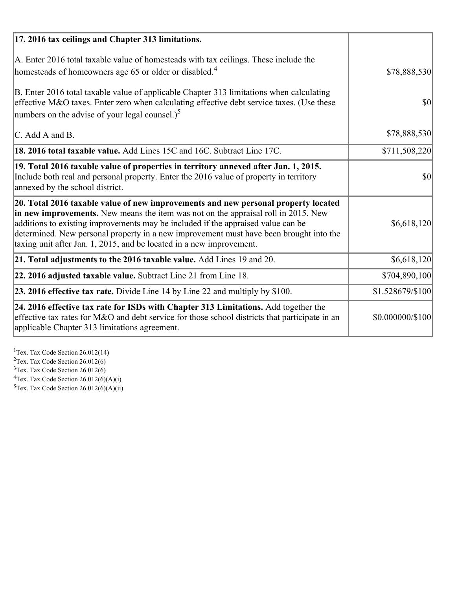| 17. 2016 tax ceilings and Chapter 313 limitations.                                                                                                                                                                                                                                                                                                                                                                             |                  |
|--------------------------------------------------------------------------------------------------------------------------------------------------------------------------------------------------------------------------------------------------------------------------------------------------------------------------------------------------------------------------------------------------------------------------------|------------------|
| A. Enter 2016 total taxable value of homesteads with tax ceilings. These include the<br>homesteads of homeowners age 65 or older or disabled. <sup>4</sup>                                                                                                                                                                                                                                                                     | \$78,888,530     |
| B. Enter 2016 total taxable value of applicable Chapter 313 limitations when calculating<br>effective M&O taxes. Enter zero when calculating effective debt service taxes. (Use these<br>numbers on the advise of your legal counsel.) <sup>5</sup>                                                                                                                                                                            | $\vert$ \$0      |
| C. Add A and B.                                                                                                                                                                                                                                                                                                                                                                                                                | \$78,888,530     |
| <b>18. 2016 total taxable value.</b> Add Lines 15C and 16C. Subtract Line 17C.                                                                                                                                                                                                                                                                                                                                                 | \$711,508,220    |
| 19. Total 2016 taxable value of properties in territory annexed after Jan. 1, 2015.<br>Include both real and personal property. Enter the 2016 value of property in territory<br>annexed by the school district.                                                                                                                                                                                                               | $\vert$ \$0      |
| 20. Total 2016 taxable value of new improvements and new personal property located<br>in new improvements. New means the item was not on the appraisal roll in 2015. New<br>additions to existing improvements may be included if the appraised value can be<br>determined. New personal property in a new improvement must have been brought into the<br>taxing unit after Jan. 1, 2015, and be located in a new improvement. | \$6,618,120      |
| 21. Total adjustments to the 2016 taxable value. Add Lines 19 and 20.                                                                                                                                                                                                                                                                                                                                                          | \$6,618,120      |
| 22. 2016 adjusted taxable value. Subtract Line 21 from Line 18.                                                                                                                                                                                                                                                                                                                                                                | \$704,890,100    |
| 23. 2016 effective tax rate. Divide Line 14 by Line 22 and multiply by \$100.                                                                                                                                                                                                                                                                                                                                                  | \$1.528679/\$100 |
| 24. 2016 effective tax rate for ISDs with Chapter 313 Limitations. Add together the<br>effective tax rates for M&O and debt service for those school districts that participate in an<br>applicable Chapter 313 limitations agreement.                                                                                                                                                                                         | \$0.000000/\$100 |

<sup>1</sup>Tex. Tax Code Section 26.012(14)  $2$ Tex. Tax Code Section 26.012(6)  $3$ Tex. Tax Code Section 26.012(6)  ${}^{4}$ Tex. Tax Code Section 26.012(6)(A)(i)

 $5$ Tex. Tax Code Section 26.012(6)(A)(ii)